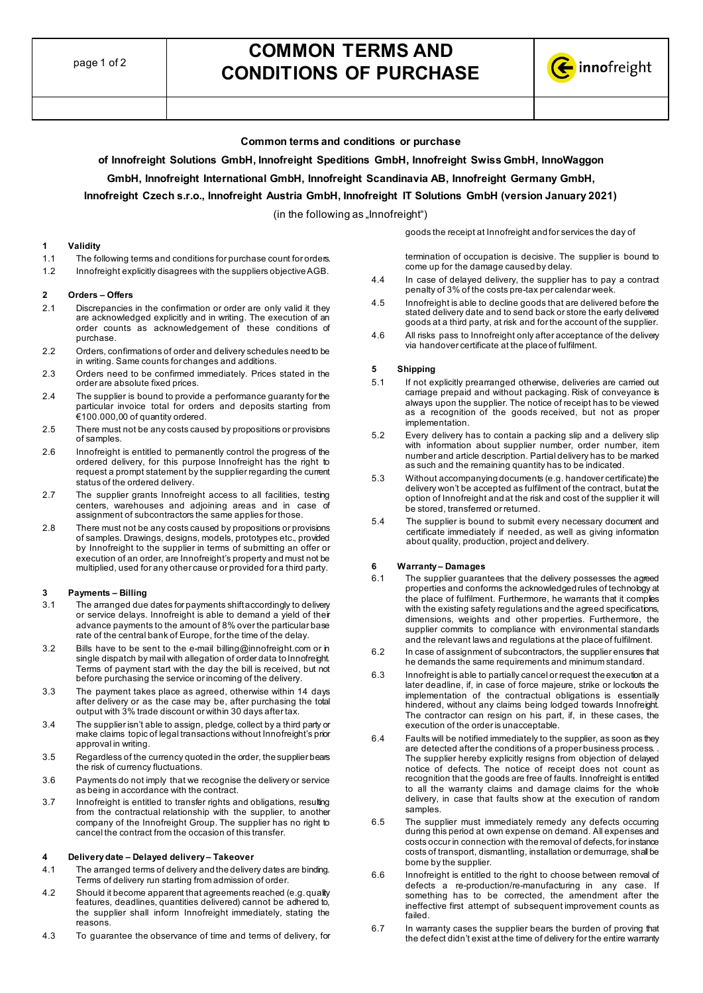# **COMMON TERMS AND CONDITIONS OF PURCHASE**



# **Common terms and conditions or purchase**

**of Innofreight Solutions GmbH, Innofreight Speditions GmbH, Innofreight Swiss GmbH, InnoWaggon**

# **GmbH, Innofreight International GmbH, Innofreight Scandinavia AB, Innofreight Germany GmbH,**

# **Innofreight Czech s.r.o., Innofreight Austria GmbH, Innofreight IT Solutions GmbH (version January 2021)**

 $(in the following as "Innofreight")$ 

#### **1 Validity**

- 1.1 The following terms and conditions for purchase count for orders.
- 1.2 Innofreight explicitly disagrees with the suppliers objective AGB.

#### **2 Orders – Offers**

- 2.1 Discrepancies in the confirmation or order are only valid it they are acknowledged explicitly and in writing. The execution of an order counts as acknowledgement of these conditions of purchase.
- 2.2 Orders, confirmations of order and delivery schedules need to be in writing. Same counts for changes and additions.
- 2.3 Orders need to be confirmed immediately. Prices stated in the order are absolute fixed prices.
- 2.4 The supplier is bound to provide a performance guaranty for the particular invoice total for orders and deposits starting from €100.000,00 of quantity ordered.
- 2.5 There must not be any costs caused by propositions or provisions of samples.
- 2.6 Innofreight is entitled to permanently control the progress of the ordered delivery, for this purpose Innofreight has the right to request a prompt statement by the supplier regarding the current status of the ordered delivery.
- 2.7 The supplier grants Innofreight access to all facilities, testing centers, warehouses and adjoining areas and in case of assignment of subcontractors the same applies for those.
- 2.8 There must not be any costs caused by propositions or provisions of samples. Drawings, designs, models, prototypes etc., provided by Innofreight to the supplier in terms of submitting an offer or execution of an order, are Innofreight's property and must not be multiplied, used for any other cause or provided for a third party.

#### **3 Payments – Billing**

- 3.1 The arranged due dates for payments shift accordingly to delivery or service delays. Innofreight is able to demand a yield of their advance payments to the amount of 8% over the particular base rate of the central bank of Europe, for the time of the delay.
- 3.2 Bills have to be sent to the e-mail [billing@innofreight.com](mailto:billing@innofreight.com) or in single dispatch by mail with allegation of order data to Innofreight. Terms of payment start with the day the bill is received, but not before purchasing the service or incoming of the delivery.
- 3.3 The payment takes place as agreed, otherwise within 14 days after delivery or as the case may be, after purchasing the total output with 3% trade discount or within 30 days after tax.
- 3.4 The supplier isn't able to assign, pledge, collect by a third party or make claims topic of legal transactions without Innofreight's prior approval in writing.
- 3.5 Regardless of the currency quoted in the order, the supplier bears the risk of currency fluctuations.
- 3.6 Payments do not imply that we recognise the delivery or service as being in accordance with the contract.
- 3.7 Innofreight is entitled to transfer rights and obligations, resulting from the contractual relationship with the supplier, to another company of the Innofreight Group. The supplier has no right to cancel the contract from the occasion of this transfer.

# **4 Delivery date – Delayed delivery – Takeover**

- 4.1 The arranged terms of delivery and the delivery dates are binding. Terms of delivery run starting from admission of order.
- 4.2 Should it become apparent that agreements reached (e.g. quality features, deadlines, quantities delivered) cannot be adhered to, the supplier shall inform Innofreight immediately, stating the reasons.
- 4.3 To guarantee the observance of time and terms of delivery, for

termination of occupation is decisive. The supplier is bound to come up for the damage caused by delay.

4.4 In case of delayed delivery, the supplier has to pay a contract penalty of 3% of the costs pre-tax per calendar week.

goods the receipt at Innofreight and for services the day of

- 4.5 Innofreight is able to decline goods that are delivered before the stated delivery date and to send back or store the early delivered goods at a third party, at risk and for the account of the supplier.
- 4.6 All risks pass to Innofreight only after acceptance of the delivery via handover certificate at the place of fulfilment.

#### **5 Shipping**

- 5.1 If not explicitly prearranged otherwise, deliveries are carried out carriage prepaid and without packaging. Risk of conveyance is always upon the supplier. The notice of receipt has to be viewed as a recognition of the goods received, but not as proper implementation.
- 5.2 Every delivery has to contain a packing slip and a delivery slip with information about supplier number, order number, item number and article description. Partial delivery has to be marked as such and the remaining quantity has to be indicated.
- 5.3 Without accompanying documents (e.g. handover certificate) the delivery won't be accepted as fulfilment of the contract, but at the option of Innofreight and at the risk and cost of the supplier it will be stored, transferred or returned.
- 5.4 The supplier is bound to submit every necessary document and certificate immediately if needed, as well as giving information about quality, production, project and delivery.

# **6 Warranty – Damages**

- 6.1 The supplier guarantees that the delivery possesses the agreed properties and conforms the acknowledged rules of technology at the place of fulfilment. Furthermore, he warrants that it complies with the existing safety regulations and the agreed specifications, dimensions, weights and other properties. Furthermore, the supplier commits to compliance with environmental standards and the relevant laws and regulations at the place of fulfilment.
- 6.2 In case of assignment of subcontractors, the supplier ensures that he demands the same requirements and minimum standard.
- 6.3 Innofreight is able to partially cancel or request the execution at a later deadline, if, in case of force majeure, strike or lockouts the implementation of the contractual obligations is essentially hindered, without any claims being lodged towards Innofreight. The contractor can resign on his part, if, in these cases, the execution of the order is unacceptable.
- 6.4 Faults will be notified immediately to the supplier, as soon as they are detected after the conditions of a proper business process. . The supplier hereby explicitly resigns from objection of delayed notice of defects. The notice of receipt does not count as recognition that the goods are free of faults. Innofreight is entitled to all the warranty claims and damage claims for the whole delivery, in case that faults show at the execution of random samples.
- 6.5 The supplier must immediately remedy any defects occurring during this period at own expense on demand. All expenses and costs occur in connection with the removal of defects, for instance costs of transport, dismantling, installation or demurrage, shall be borne by the supplier.
- 6.6 Innofreight is entitled to the right to choose between removal of defects a re-production/re-manufacturing in any case. If something has to be corrected, the amendment after the ineffective first attempt of subsequent improvement counts as failed.
- 6.7 In warranty cases the supplier bears the burden of proving that the defect didn't exist at the time of delivery for the entire warranty